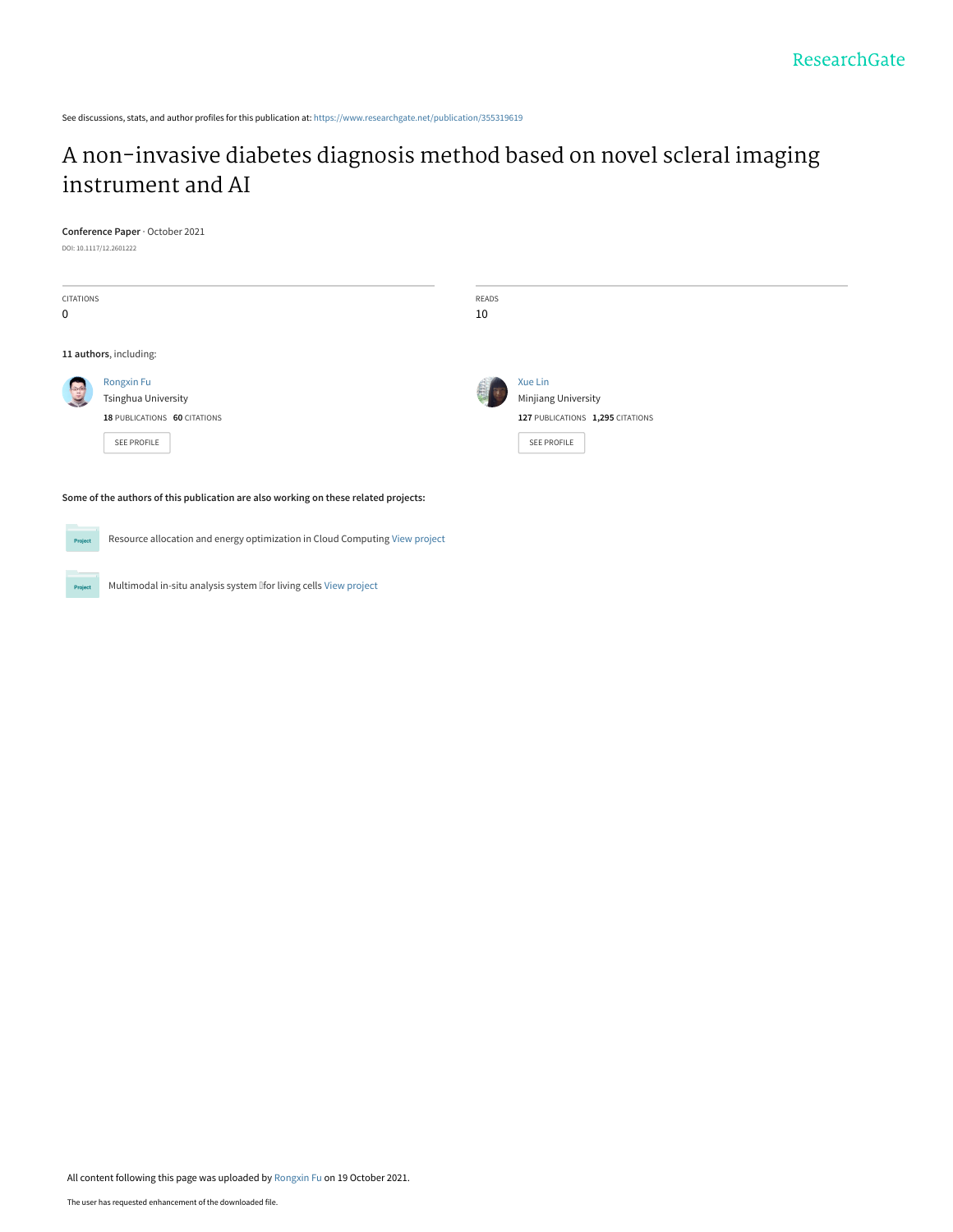See discussions, stats, and author profiles for this publication at: [https://www.researchgate.net/publication/355319619](https://www.researchgate.net/publication/355319619_A_non-invasive_diabetes_diagnosis_method_based_on_novel_scleral_imaging_instrument_and_AI?enrichId=rgreq-d518b076a9bf9a62d2f92f2b8baa69bb-XXX&enrichSource=Y292ZXJQYWdlOzM1NTMxOTYxOTtBUzoxMDgwNDE3NTkxNTI1Mzc2QDE2MzQ2MDMwMzUwNDM%3D&el=1_x_2&_esc=publicationCoverPdf)

## [A non-invasive diabetes diagnosis method based on novel scleral imaging](https://www.researchgate.net/publication/355319619_A_non-invasive_diabetes_diagnosis_method_based_on_novel_scleral_imaging_instrument_and_AI?enrichId=rgreq-d518b076a9bf9a62d2f92f2b8baa69bb-XXX&enrichSource=Y292ZXJQYWdlOzM1NTMxOTYxOTtBUzoxMDgwNDE3NTkxNTI1Mzc2QDE2MzQ2MDMwMzUwNDM%3D&el=1_x_3&_esc=publicationCoverPdf) instrument and AI

#### **Conference Paper** · October 2021

DOI: 10.1117/12.2601222

Project

| CITATIONS<br>0                                                                                                                                                                |                                                                                                | READS<br>10 |                                                                                          |  |  |
|-------------------------------------------------------------------------------------------------------------------------------------------------------------------------------|------------------------------------------------------------------------------------------------|-------------|------------------------------------------------------------------------------------------|--|--|
|                                                                                                                                                                               | 11 authors, including:                                                                         |             |                                                                                          |  |  |
| $\frac{1}{2}$                                                                                                                                                                 | <b>Rongxin Fu</b><br><b>Tsinghua University</b><br>18 PUBLICATIONS 60 CITATIONS<br>SEE PROFILE |             | Xue Lin<br>Minjiang University<br>127 PUBLICATIONS 1,295 CITATIONS<br><b>SEE PROFILE</b> |  |  |
| Some of the authors of this publication are also working on these related projects:<br>Resource allocation and energy optimization in Cloud Computing View project<br>Project |                                                                                                |             |                                                                                          |  |  |

All content following this page was uploaded by [Rongxin Fu](https://www.researchgate.net/profile/Rongxin-Fu?enrichId=rgreq-d518b076a9bf9a62d2f92f2b8baa69bb-XXX&enrichSource=Y292ZXJQYWdlOzM1NTMxOTYxOTtBUzoxMDgwNDE3NTkxNTI1Mzc2QDE2MzQ2MDMwMzUwNDM%3D&el=1_x_10&_esc=publicationCoverPdf) on 19 October 2021.

Multimodal in-situ analysis system lifor living cells [View project](https://www.researchgate.net/project/Multimodal-in-situ-analysis-system-for-living-cells?enrichId=rgreq-d518b076a9bf9a62d2f92f2b8baa69bb-XXX&enrichSource=Y292ZXJQYWdlOzM1NTMxOTYxOTtBUzoxMDgwNDE3NTkxNTI1Mzc2QDE2MzQ2MDMwMzUwNDM%3D&el=1_x_9&_esc=publicationCoverPdf)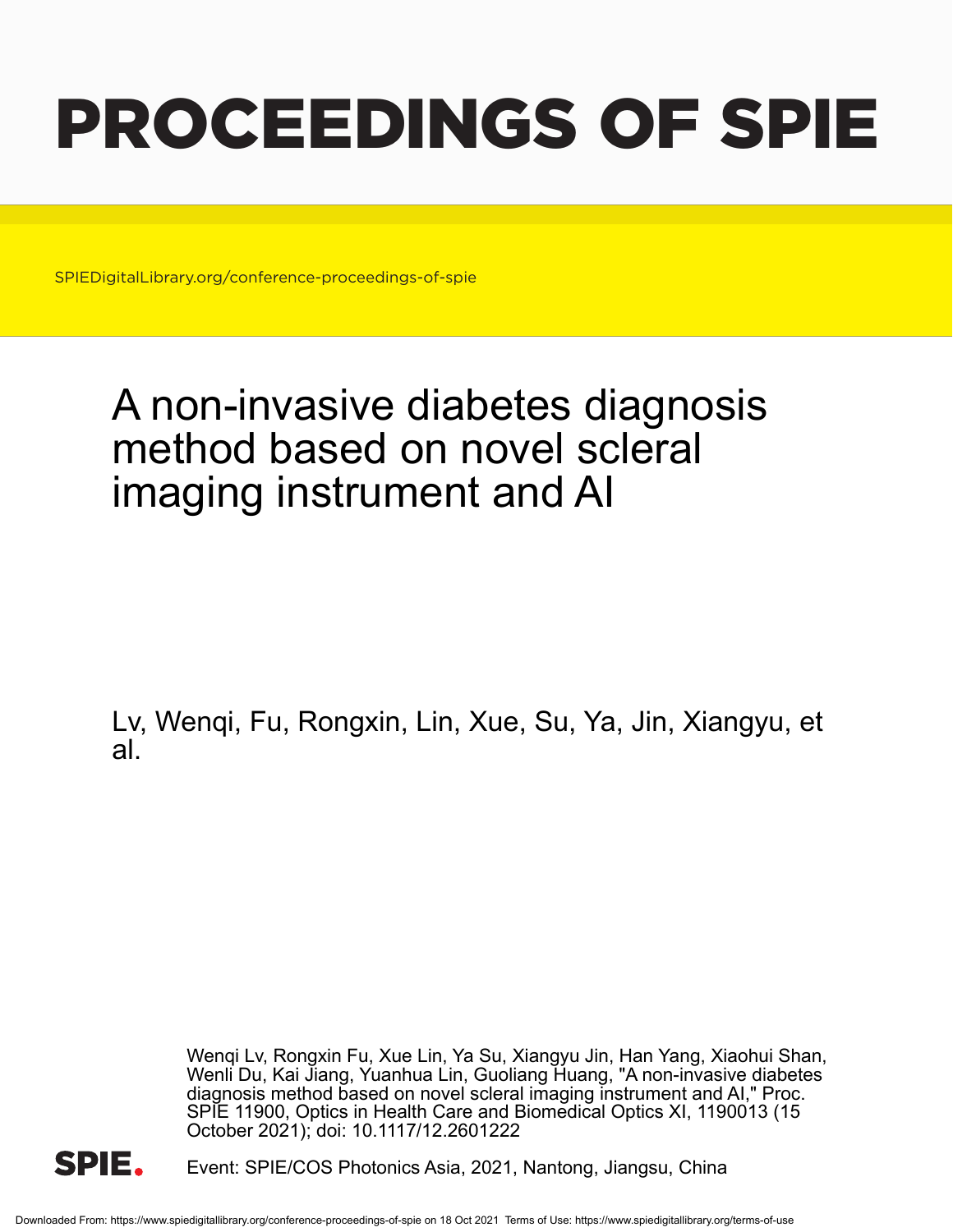# PROCEEDINGS OF SPIE

SPIEDigitalLibrary.org/conference-proceedings-of-spie

# A non-invasive diabetes diagnosis method based on novel scleral imaging instrument and AI

Lv, Wenqi, Fu, Rongxin, Lin, Xue, Su, Ya, Jin, Xiangyu, et al.

> Wenqi Lv, Rongxin Fu, Xue Lin, Ya Su, Xiangyu Jin, Han Yang, Xiaohui Shan, Wenli Du, Kai Jiang, Yuanhua Lin, Guoliang Huang, "A non-invasive diabetes diagnosis method based on novel scleral imaging instrument and AI," Proc. SPIE 11900, Optics in Health Care and Biomedical Optics XI, 1190013 (15 October 2021); doi: 10.1117/12.2601222



Event: SPIE/COS Photonics Asia, 2021, Nantong, Jiangsu, China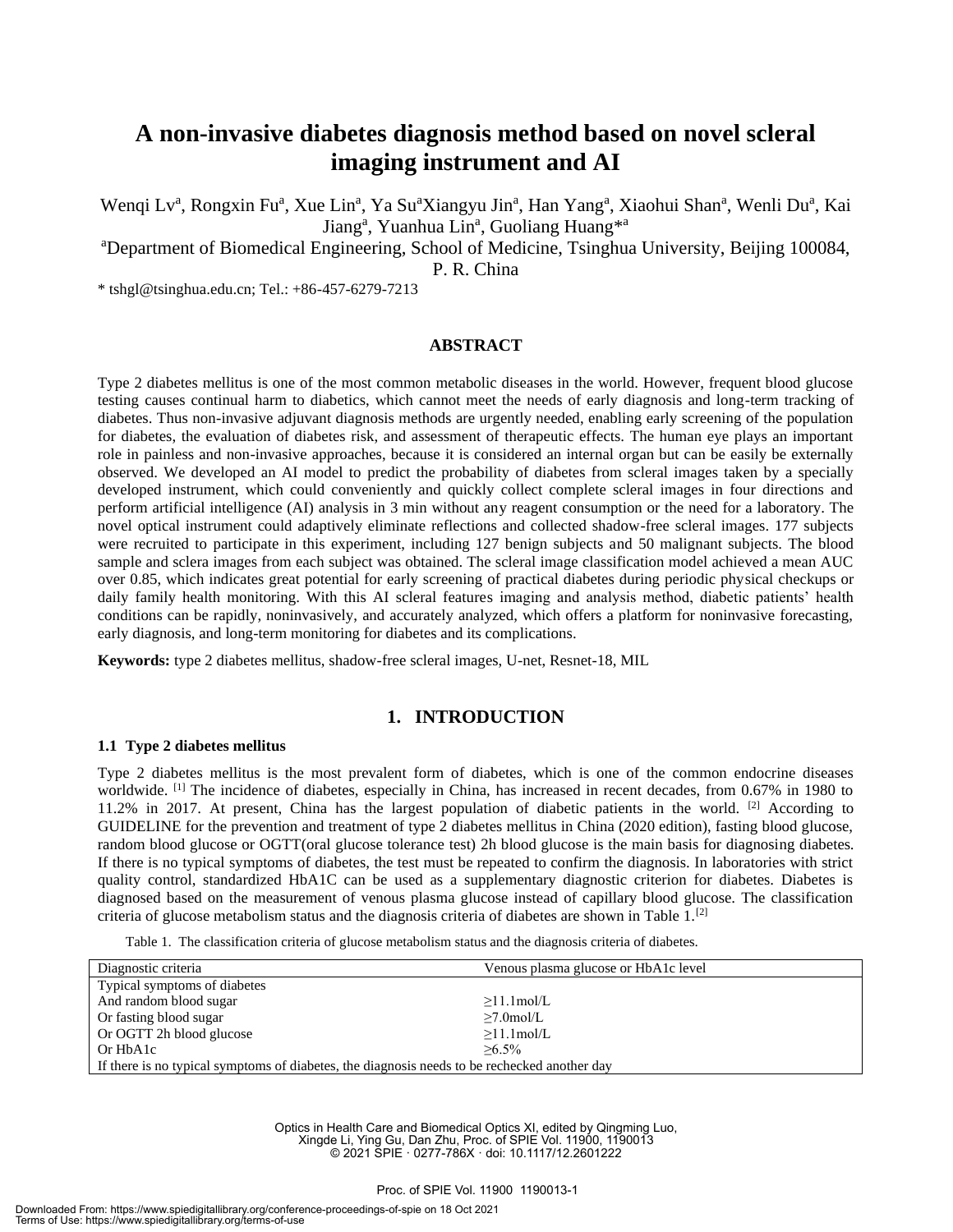### **A non-invasive diabetes diagnosis method based on novel scleral imaging instrument and AI**

Wenqi Lv<sup>a</sup>, Rongxin Fu<sup>a</sup>, Xue Lin<sup>a</sup>, Ya Su<sup>a</sup>Xiangyu Jin<sup>a</sup>, Han Yang<sup>a</sup>, Xiaohui Shan<sup>a</sup>, Wenli Du<sup>a</sup>, Kai Jiang<sup>a</sup>, Yuanhua Lin<sup>a</sup>, Guoliang Huang<sup>\*a</sup>

<sup>a</sup>Department of Biomedical Engineering, School of Medicine, Tsinghua University, Beijing 100084,

P. R. China

\* tshgl@tsinghua.edu.cn; Tel.: +86-457-6279-7213

#### **ABSTRACT**

Type 2 diabetes mellitus is one of the most common metabolic diseases in the world. However, frequent blood glucose testing causes continual harm to diabetics, which cannot meet the needs of early diagnosis and long-term tracking of diabetes. Thus non-invasive adjuvant diagnosis methods are urgently needed, enabling early screening of the population for diabetes, the evaluation of diabetes risk, and assessment of therapeutic effects. The human eye plays an important role in painless and non-invasive approaches, because it is considered an internal organ but can be easily be externally observed. We developed an AI model to predict the probability of diabetes from scleral images taken by a specially developed instrument, which could conveniently and quickly collect complete scleral images in four directions and perform artificial intelligence (AI) analysis in 3 min without any reagent consumption or the need for a laboratory. The novel optical instrument could adaptively eliminate reflections and collected shadow-free scleral images. 177 subjects were recruited to participate in this experiment, including 127 benign subjects and 50 malignant subjects. The blood sample and sclera images from each subject was obtained. The scleral image classification model achieved a mean AUC over 0.85, which indicates great potential for early screening of practical diabetes during periodic physical checkups or daily family health monitoring. With this AI scleral features imaging and analysis method, diabetic patients' health conditions can be rapidly, noninvasively, and accurately analyzed, which offers a platform for noninvasive forecasting, early diagnosis, and long-term monitoring for diabetes and its complications.

**Keywords:** type 2 diabetes mellitus, shadow-free scleral images, U-net, Resnet-18, MIL

#### **1. INTRODUCTION**

#### **1.1 Type 2 diabetes mellitus**

Type 2 diabetes mellitus is the most prevalent form of diabetes, which is one of the common endocrine diseases worldwide. <sup>[1]</sup> The incidence of diabetes, especially in China, has increased in recent decades, from 0.67% in 1980 to 11.2% in 2017. At present, China has the largest population of diabetic patients in the world. [2] According to GUIDELINE for the prevention and treatment of type 2 diabetes mellitus in China (2020 edition), fasting blood glucose, random blood glucose or OGTT(oral glucose tolerance test) 2h blood glucose is the main basis for diagnosing diabetes. If there is no typical symptoms of diabetes, the test must be repeated to confirm the diagnosis. In laboratories with strict quality control, standardized HbA1C can be used as a supplementary diagnostic criterion for diabetes. Diabetes is diagnosed based on the measurement of venous plasma glucose instead of capillary blood glucose. The classification criteria of glucose metabolism status and the diagnosis criteria of diabetes are shown in Table  $1$ .<sup>[2]</sup>

Table 1. The classification criteria of glucose metabolism status and the diagnosis criteria of diabetes.

| Diagnostic criteria                                                                          | Venous plasma glucose or HbA1c level |  |  |  |
|----------------------------------------------------------------------------------------------|--------------------------------------|--|--|--|
| Typical symptoms of diabetes                                                                 |                                      |  |  |  |
| And random blood sugar                                                                       | $>11.1$ mol/L                        |  |  |  |
| Or fasting blood sugar                                                                       | $\geq 7.0$ mol/L                     |  |  |  |
| Or OGTT 2h blood glucose                                                                     | $\geq$ 11.1mol/L                     |  |  |  |
| $>6.5\%$<br>Or HbA1c                                                                         |                                      |  |  |  |
| If there is no typical symptoms of diabetes, the diagnosis needs to be rechecked another day |                                      |  |  |  |

Optics in Health Care and Biomedical Optics XI, edited by Qingming Luo, Xingde Li, Ying Gu, Dan Zhu, Proc. of SPIE Vol. 11900, 1190013 © 2021 SPIE · 0277-786X · doi: 10.1117/12.2601222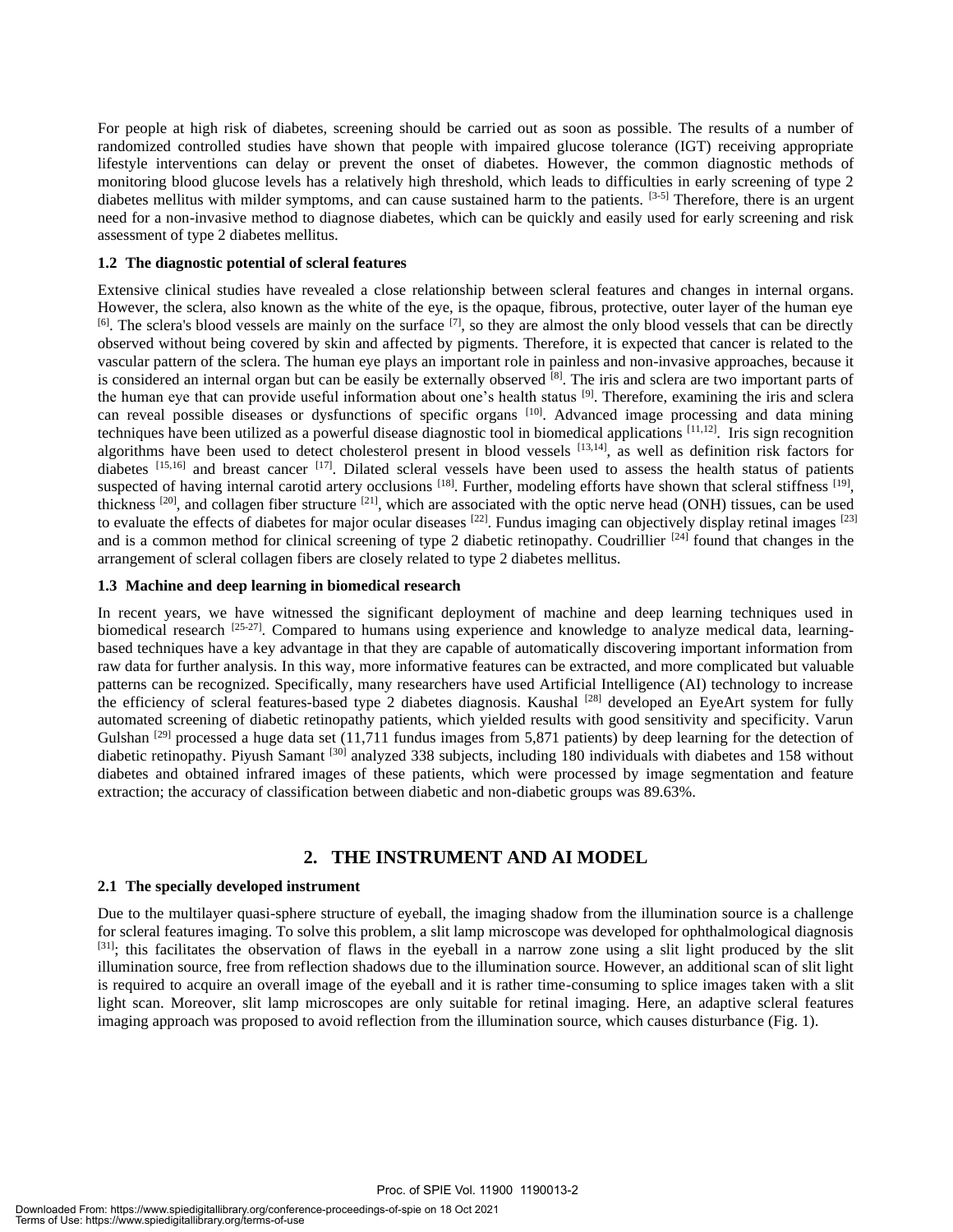For people at high risk of diabetes, screening should be carried out as soon as possible. The results of a number of randomized controlled studies have shown that people with impaired glucose tolerance (IGT) receiving appropriate lifestyle interventions can delay or prevent the onset of diabetes. However, the common diagnostic methods of monitoring blood glucose levels has a relatively high threshold, which leads to difficulties in early screening of type 2 diabetes mellitus with milder symptoms, and can cause sustained harm to the patients. [3-5] Therefore, there is an urgent need for a non-invasive method to diagnose diabetes, which can be quickly and easily used for early screening and risk assessment of type 2 diabetes mellitus.

#### **1.2 The diagnostic potential of scleral features**

Extensive clinical studies have revealed a close relationship between scleral features and changes in internal organs. However, the sclera, also known as the white of the eye, is the opaque, fibrous, protective, outer layer of the human eye [6]. The sclera's blood vessels are mainly on the surface [7], so they are almost the only blood vessels that can be directly observed without being covered by skin and affected by pigments. Therefore, it is expected that cancer is related to the vascular pattern of the sclera. The human eye plays an important role in painless and non-invasive approaches, because it is considered an internal organ but can be easily be externally observed [8]. The iris and sclera are two important parts of the human eye that can provide useful information about one's health status <sup>[9]</sup>. Therefore, examining the iris and sclera can reveal possible diseases or dysfunctions of specific organs <sup>[10]</sup>. Advanced image processing and data mining techniques have been utilized as a powerful disease diagnostic tool in biomedical applications [11,12] . Iris sign recognition algorithms have been used to detect cholesterol present in blood vessels [13,14], as well as definition risk factors for diabetes  $[15,16]$  and breast cancer  $[17]$ . Dilated scleral vessels have been used to assess the health status of patients suspected of having internal carotid artery occlusions  $^{[18]}$ . Further, modeling efforts have shown that scleral stiffness  $^{[19]}$ , thickness  $^{[20]}$ , and collagen fiber structure  $^{[21]}$ , which are associated with the optic nerve head (ONH) tissues, can be used to evaluate the effects of diabetes for major ocular diseases  $[22]$ . Fundus imaging can objectively display retinal images  $[23]$ and is a common method for clinical screening of type 2 diabetic retinopathy. Coudrillier <sup>[24]</sup> found that changes in the arrangement of scleral collagen fibers are closely related to type 2 diabetes mellitus.

#### **1.3 Machine and deep learning in biomedical research**

In recent years, we have witnessed the significant deployment of machine and deep learning techniques used in biomedical research <sup>[25-27]</sup>. Compared to humans using experience and knowledge to analyze medical data, learningbased techniques have a key advantage in that they are capable of automatically discovering important information from raw data for further analysis. In this way, more informative features can be extracted, and more complicated but valuable patterns can be recognized. Specifically, many researchers have used Artificial Intelligence (AI) technology to increase the efficiency of scleral features-based type 2 diabetes diagnosis. Kaushal  $^{[28]}$  developed an EyeArt system for fully automated screening of diabetic retinopathy patients, which yielded results with good sensitivity and specificity. Varun Gulshan <sup>[29]</sup> processed a huge data set (11,711 fundus images from 5,871 patients) by deep learning for the detection of diabetic retinopathy. Piyush Samant <sup>[30]</sup> analyzed 338 subjects, including 180 individuals with diabetes and 158 without diabetes and obtained infrared images of these patients, which were processed by image segmentation and feature extraction; the accuracy of classification between diabetic and non-diabetic groups was 89.63%.

#### **2. THE INSTRUMENT AND AI MODEL**

#### **2.1 The specially developed instrument**

Due to the multilayer quasi-sphere structure of eyeball, the imaging shadow from the illumination source is a challenge for scleral features imaging. To solve this problem, a slit lamp microscope was developed for ophthalmological diagnosis [31]; this facilitates the observation of flaws in the eyeball in a narrow zone using a slit light produced by the slit illumination source, free from reflection shadows due to the illumination source. However, an additional scan of slit light is required to acquire an overall image of the eyeball and it is rather time-consuming to splice images taken with a slit light scan. Moreover, slit lamp microscopes are only suitable for retinal imaging. Here, an adaptive scleral features imaging approach was proposed to avoid reflection from the illumination source, which causes disturbance (Fig. 1).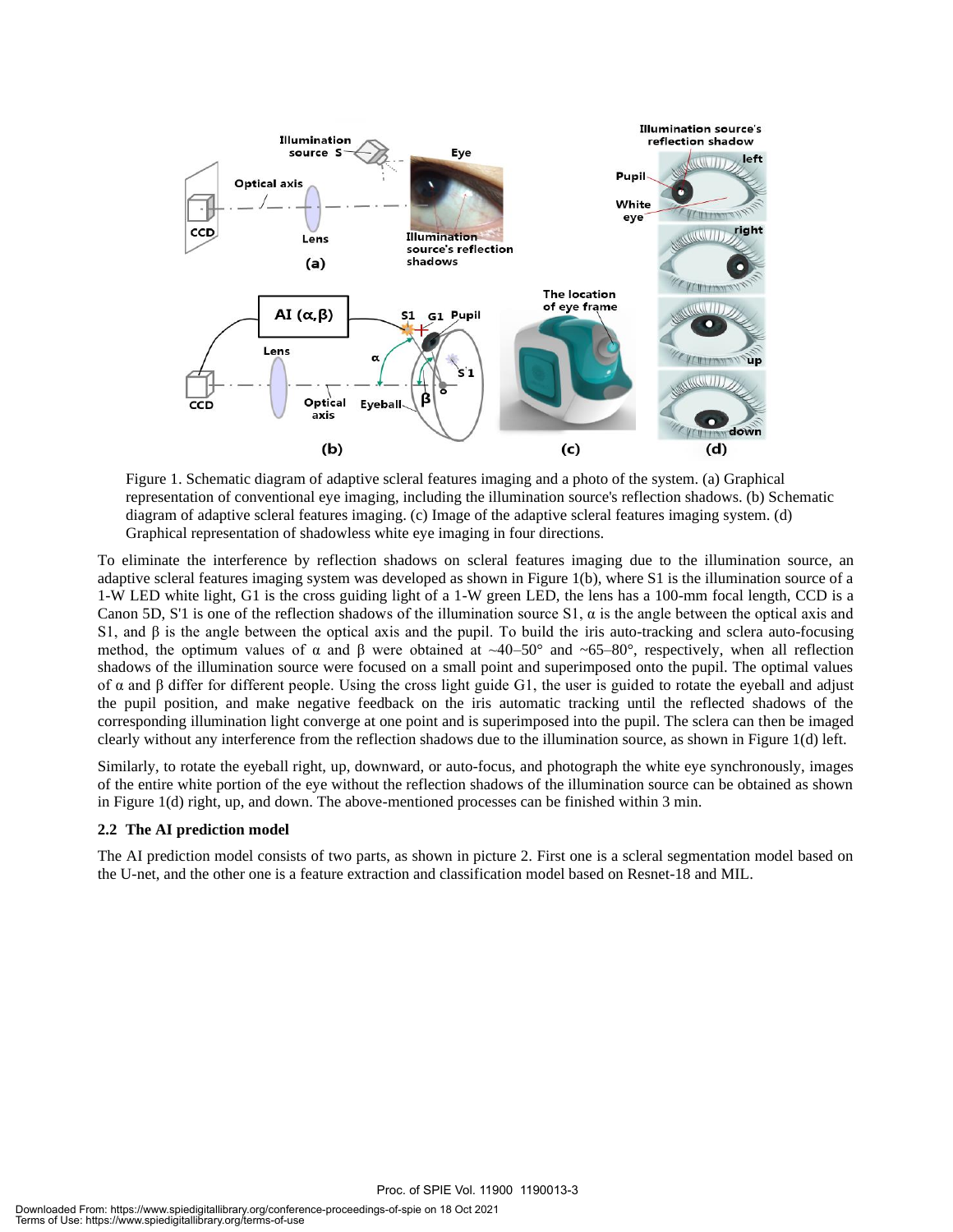

Figure 1. Schematic diagram of adaptive scleral features imaging and a photo of the system. (a) Graphical representation of conventional eye imaging, including the illumination source's reflection shadows. (b) Schematic diagram of adaptive scleral features imaging. (c) Image of the adaptive scleral features imaging system. (d) Graphical representation of shadowless white eye imaging in four directions.

To eliminate the interference by reflection shadows on scleral features imaging due to the illumination source, an adaptive scleral features imaging system was developed as shown in Figure 1(b), where S1 is the illumination source of a 1-W LED white light, G1 is the cross guiding light of a 1-W green LED, the lens has a 100-mm focal length, CCD is a Canon 5D, S'1 is one of the reflection shadows of the illumination source S1,  $\alpha$  is the angle between the optical axis and S1, and  $\beta$  is the angle between the optical axis and the pupil. To build the iris auto-tracking and sclera auto-focusing method, the optimum values of α and β were obtained at  $\sim$ 40–50° and  $\sim$  65–80°, respectively, when all reflection shadows of the illumination source were focused on a small point and superimposed onto the pupil. The optimal values of α and β differ for different people. Using the cross light guide G1, the user is guided to rotate the eyeball and adjust the pupil position, and make negative feedback on the iris automatic tracking until the reflected shadows of the corresponding illumination light converge at one point and is superimposed into the pupil. The sclera can then be imaged clearly without any interference from the reflection shadows due to the illumination source, as shown in Figure 1(d) left.

Similarly, to rotate the eyeball right, up, downward, or auto-focus, and photograph the white eye synchronously, images of the entire white portion of the eye without the reflection shadows of the illumination source can be obtained as shown in Figure 1(d) right, up, and down. The above-mentioned processes can be finished within 3 min.

#### **2.2 The AI prediction model**

The AI prediction model consists of two parts, as shown in picture 2. First one is a scleral segmentation model based on the U-net, and the other one is a feature extraction and classification model based on Resnet-18 and MIL.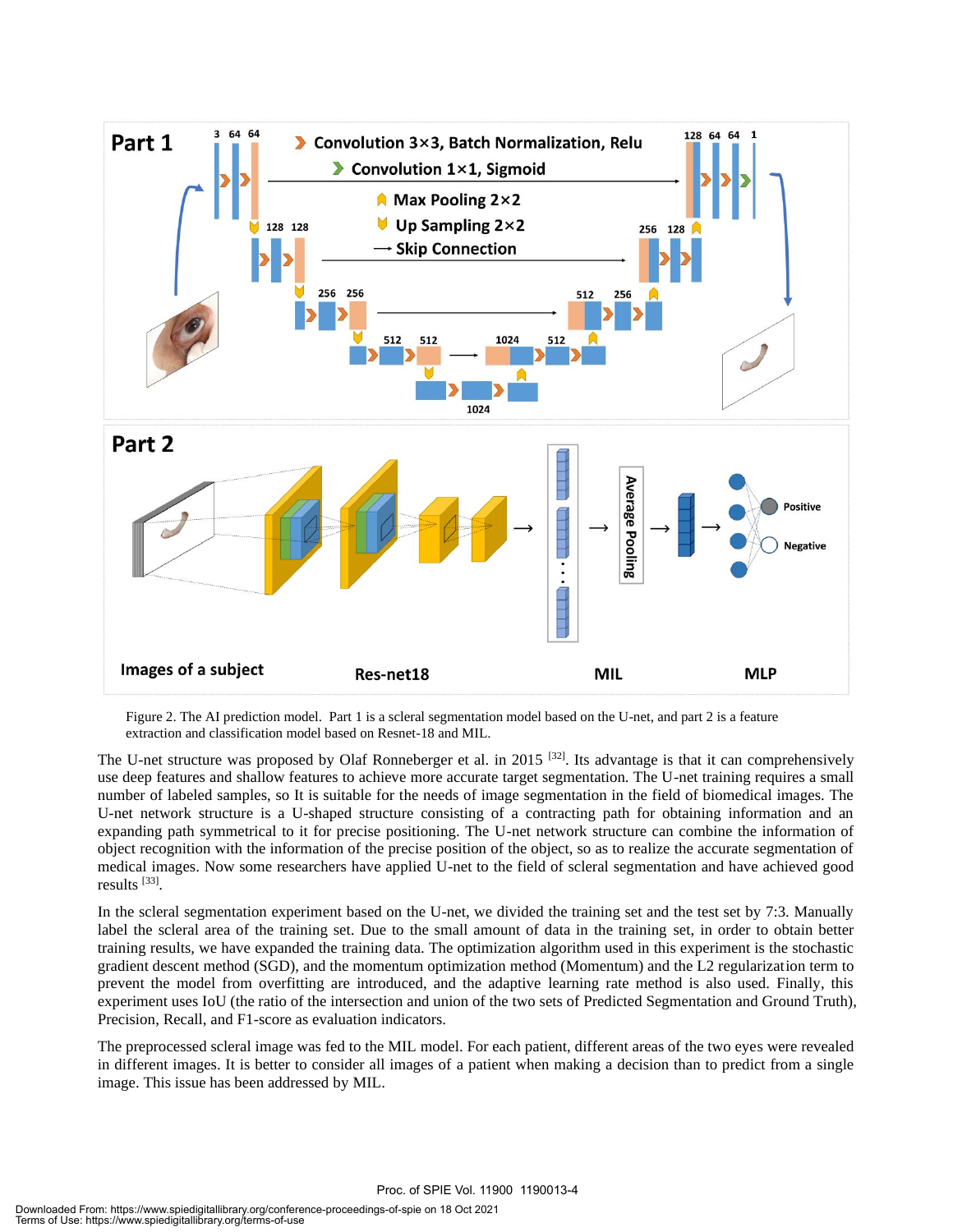

Figure 2. The AI prediction model. Part 1 is a scleral segmentation model based on the U-net, and part 2 is a feature extraction and classification model based on Resnet-18 and MIL.

The U-net structure was proposed by Olaf Ronneberger et al. in 2015<sup>[32]</sup>. Its advantage is that it can comprehensively use deep features and shallow features to achieve more accurate target segmentation. The U-net training requires a small number of labeled samples, so It is suitable for the needs of image segmentation in the field of biomedical images. The U-net network structure is a U-shaped structure consisting of a contracting path for obtaining information and an expanding path symmetrical to it for precise positioning. The U-net network structure can combine the information of object recognition with the information of the precise position of the object, so as to realize the accurate segmentation of medical images. Now some researchers have applied U-net to the field of scleral segmentation and have achieved good results [33] .

In the scleral segmentation experiment based on the U-net, we divided the training set and the test set by 7:3. Manually label the scleral area of the training set. Due to the small amount of data in the training set, in order to obtain better training results, we have expanded the training data. The optimization algorithm used in this experiment is the stochastic gradient descent method (SGD), and the momentum optimization method (Momentum) and the L2 regularization term to prevent the model from overfitting are introduced, and the adaptive learning rate method is also used. Finally, this experiment uses IoU (the ratio of the intersection and union of the two sets of Predicted Segmentation and Ground Truth), Precision, Recall, and F1-score as evaluation indicators.

The preprocessed scleral image was fed to the MIL model. For each patient, different areas of the two eyes were revealed in different images. It is better to consider all images of a patient when making a decision than to predict from a single image. This issue has been addressed by MIL.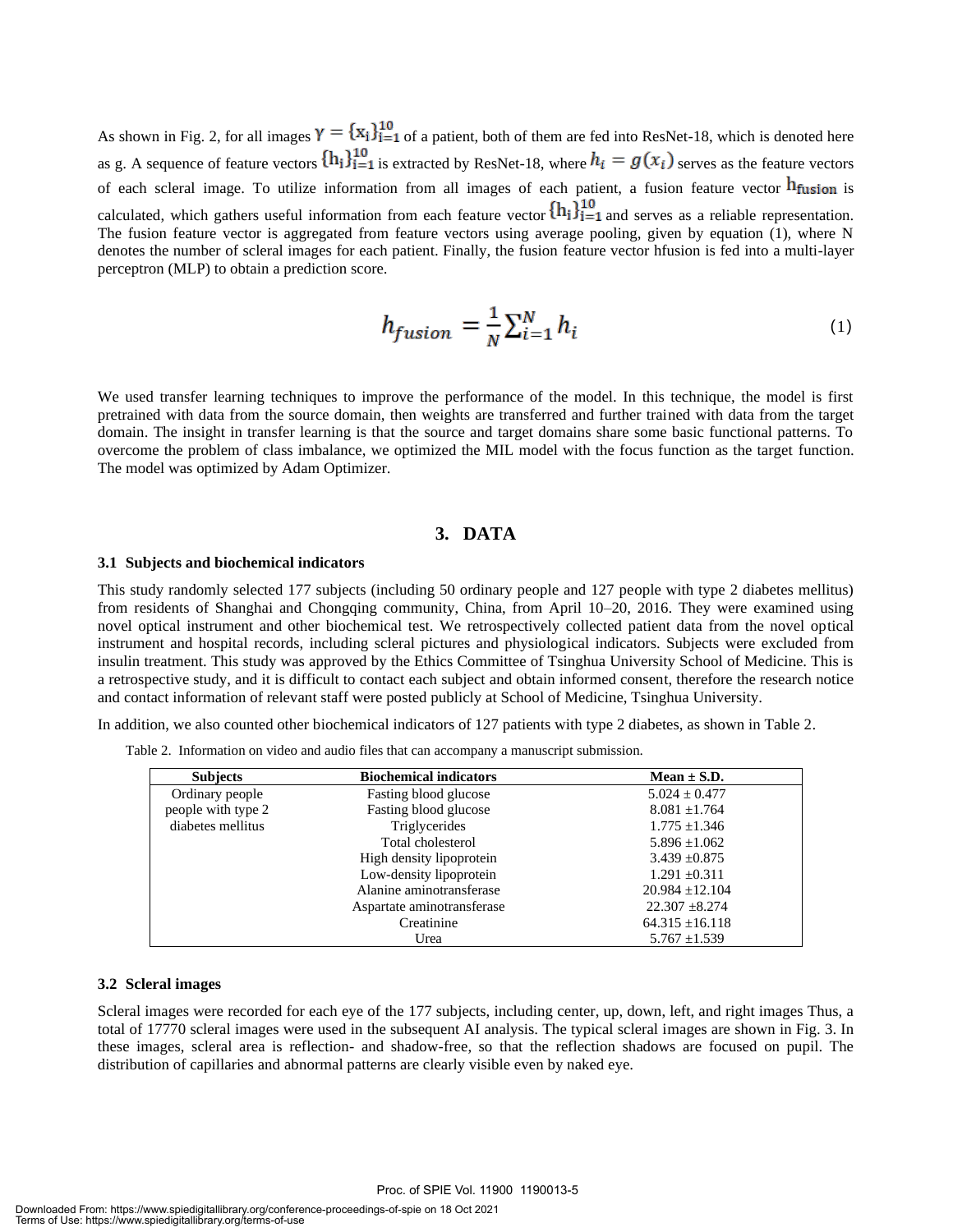As shown in Fig. 2, for all images  $\gamma = \{x_i\}_{i=1}^{10}$  of a patient, both of them are fed into ResNet-18, which is denoted here as g. A sequence of feature vectors  $\{h_i\}_{i=1}^{10}$  is extracted by ResNet-18, where  $h_i = g(x_i)$  serves as the feature vectors of each scleral image. To utilize information from all images of each patient, a fusion feature vector  $h$  fusion is calculated, which gathers useful information from each feature vector  $\{h_i\}_{i=1}^{10}$  and serves as a reliable representation. The fusion feature vector is aggregated from feature vectors using average pooling, given by equation (1), where N denotes the number of scleral images for each patient. Finally, the fusion feature vector hfusion is fed into a multi-layer perceptron (MLP) to obtain a prediction score.

$$
h_{fusion} = \frac{1}{N} \sum_{i=1}^{N} h_i
$$
 (1)

We used transfer learning techniques to improve the performance of the model. In this technique, the model is first pretrained with data from the source domain, then weights are transferred and further trained with data from the target domain. The insight in transfer learning is that the source and target domains share some basic functional patterns. To overcome the problem of class imbalance, we optimized the MIL model with the focus function as the target function. The model was optimized by Adam Optimizer.

#### **3. DATA**

#### **3.1 Subjects and biochemical indicators**

This study randomly selected 177 subjects (including 50 ordinary people and 127 people with type 2 diabetes mellitus) from residents of Shanghai and Chongqing community, China, from April 10-20, 2016. They were examined using novel optical instrument and other biochemical test. We retrospectively collected patient data from the novel optical instrument and hospital records, including scleral pictures and physiological indicators. Subjects were excluded from insulin treatment. This study was approved by the Ethics Committee of Tsinghua University School of Medicine. This is a retrospective study, and it is difficult to contact each subject and obtain informed consent, therefore the research notice and contact information of relevant staff were posted publicly at School of Medicine, Tsinghua University.

In addition, we also counted other biochemical indicators of 127 patients with type 2 diabetes, as shown in Table 2.

| Table 2. Information on video and audio files that can accompany a manuscript submission. |  |  |  |
|-------------------------------------------------------------------------------------------|--|--|--|
|                                                                                           |  |  |  |
|                                                                                           |  |  |  |

| <b>Subjects</b>    | <b>Biochemical indicators</b> | Mean $\pm$ S.D.     |
|--------------------|-------------------------------|---------------------|
| Ordinary people    | Fasting blood glucose         | $5.024 \pm 0.477$   |
| people with type 2 | Fasting blood glucose         | $8.081 \pm 1.764$   |
| diabetes mellitus  | Triglycerides                 | $1.775 \pm 1.346$   |
|                    | Total cholesterol             | $5.896 \pm 1.062$   |
|                    | High density lipoprotein      | $3.439 \pm 0.875$   |
|                    | Low-density lipoprotein       | $1.291 \pm 0.311$   |
|                    | Alanine aminotransferase      | $20.984 \pm 12.104$ |
|                    | Aspartate aminotransferase    | $22.307 \pm 8.274$  |
|                    | Creatinine                    | $64.315 \pm 16.118$ |
|                    | Urea                          | $5.767 \pm 1.539$   |

#### **3.2 Scleral images**

Scleral images were recorded for each eye of the 177 subjects, including center, up, down, left, and right images Thus, a total of 17770 scleral images were used in the subsequent AI analysis. The typical scleral images are shown in Fig. 3. In these images, scleral area is reflection- and shadow-free, so that the reflection shadows are focused on pupil. The distribution of capillaries and abnormal patterns are clearly visible even by naked eye.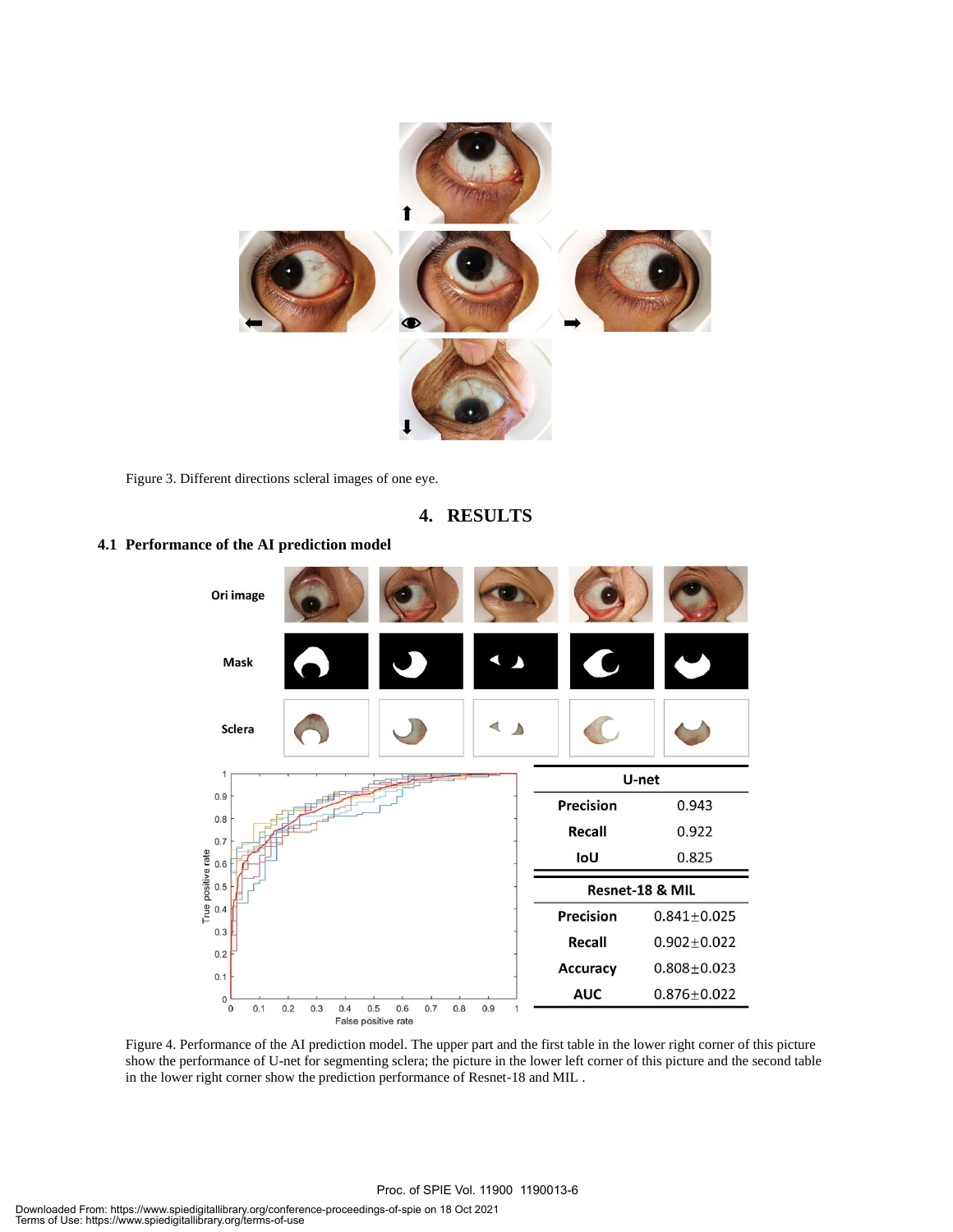

Figure 3. Different directions scleral images of one eye.

**4. RESULTS**



**4.1 Performance of the AI prediction model**

Figure 4. Performance of the AI prediction model. The upper part and the first table in the lower right corner of this picture show the performance of U-net for segmenting sclera; the picture in the lower left corner of this picture and the second table in the lower right corner show the prediction performance of Resnet-18 and MIL .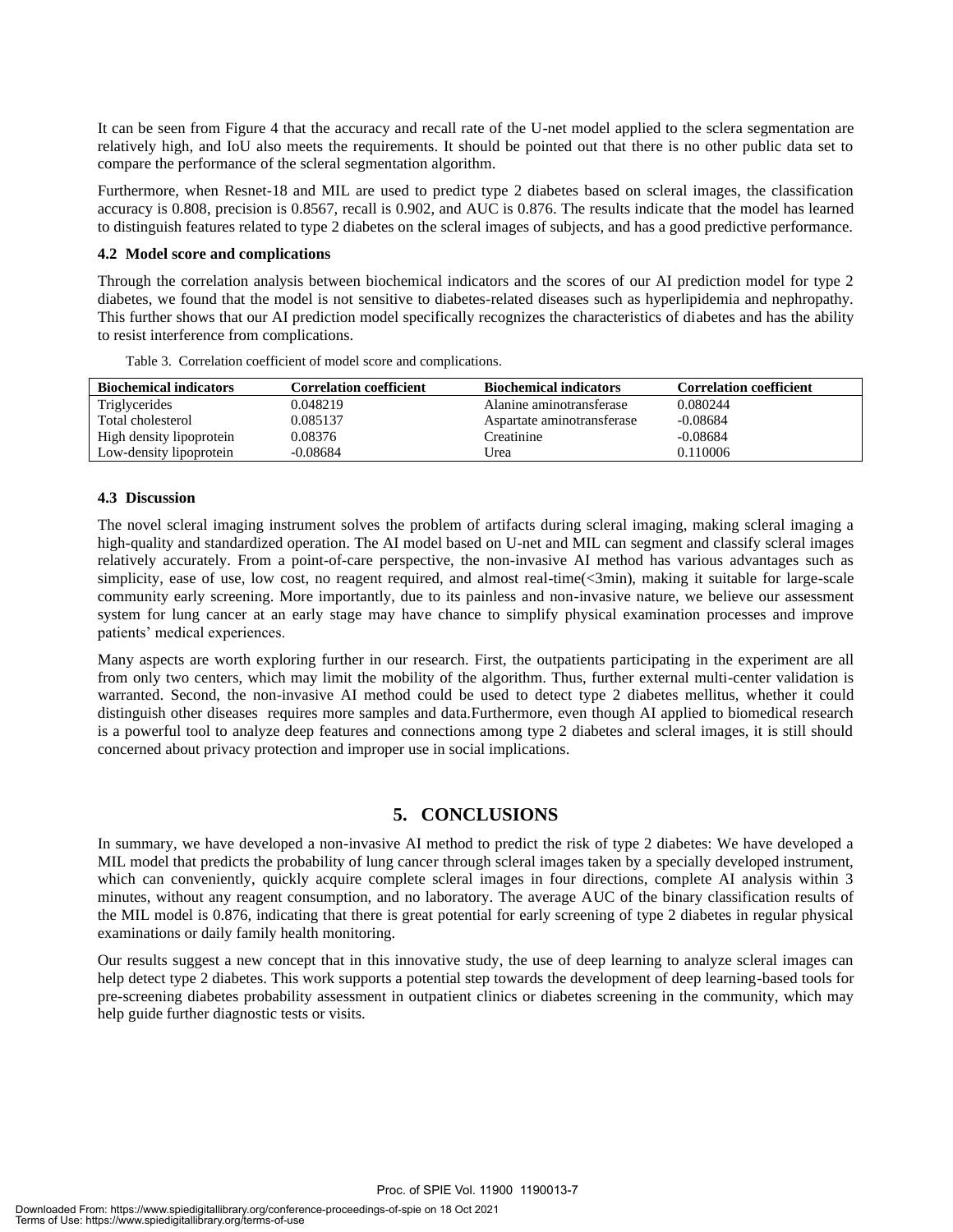It can be seen from Figure 4 that the accuracy and recall rate of the U-net model applied to the sclera segmentation are relatively high, and IoU also meets the requirements. It should be pointed out that there is no other public data set to compare the performance of the scleral segmentation algorithm.

Furthermore, when Resnet-18 and MIL are used to predict type 2 diabetes based on scleral images, the classification accuracy is 0.808, precision is 0.8567, recall is 0.902, and AUC is 0.876. The results indicate that the model has learned to distinguish features related to type 2 diabetes on the scleral images of subjects, and has a good predictive performance.

#### **4.2 Model score and complications**

Through the correlation analysis between biochemical indicators and the scores of our AI prediction model for type 2 diabetes, we found that the model is not sensitive to diabetes-related diseases such as hyperlipidemia and nephropathy. This further shows that our AI prediction model specifically recognizes the characteristics of diabetes and has the ability to resist interference from complications.

| <b>Biochemical indicators</b> | <b>Correlation coefficient</b> | <b>Biochemical indicators</b> | <b>Correlation coefficient</b> |
|-------------------------------|--------------------------------|-------------------------------|--------------------------------|
| Triglycerides                 | 0.048219                       | Alanine aminotransferase      | 0.080244                       |
| Total cholesterol             | 0.085137                       | Aspartate aminotransferase    | $-0.08684$                     |
| High density lipoprotein      | 0.08376                        | Creatinine                    | $-0.08684$                     |
| Low-density lipoprotein       | $-0.08684$                     | Urea                          | 0.110006                       |

Table 3. Correlation coefficient of model score and complications.

#### **4.3 Discussion**

The novel scleral imaging instrument solves the problem of artifacts during scleral imaging, making scleral imaging a high-quality and standardized operation. The AI model based on U-net and MIL can segment and classify scleral images relatively accurately. From a point-of-care perspective, the non-invasive AI method has various advantages such as simplicity, ease of use, low cost, no reagent required, and almost real-time(<3min), making it suitable for large-scale community early screening. More importantly, due to its painless and non-invasive nature, we believe our assessment system for lung cancer at an early stage may have chance to simplify physical examination processes and improve patients' medical experiences.

Many aspects are worth exploring further in our research. First, the outpatients participating in the experiment are all from only two centers, which may limit the mobility of the algorithm. Thus, further external multi-center validation is warranted. Second, the non-invasive AI method could be used to detect type 2 diabetes mellitus, whether it could distinguish other diseases requires more samples and data.Furthermore, even though AI applied to biomedical research is a powerful tool to analyze deep features and connections among type 2 diabetes and scleral images, it is still should concerned about privacy protection and improper use in social implications.

#### **5. CONCLUSIONS**

In summary, we have developed a non-invasive AI method to predict the risk of type 2 diabetes: We have developed a MIL model that predicts the probability of lung cancer through scleral images taken by a specially developed instrument, which can conveniently, quickly acquire complete scleral images in four directions, complete AI analysis within 3 minutes, without any reagent consumption, and no laboratory. The average AUC of the binary classification results of the MIL model is 0.876, indicating that there is great potential for early screening of type 2 diabetes in regular physical examinations or daily family health monitoring.

Our results suggest a new concept that in this innovative study, the use of deep learning to analyze scleral images can help detect type 2 diabetes. This work supports a potential step towards the development of deep learning-based tools for pre-screening diabetes probability assessment in outpatient clinics or diabetes screening in the community, which may help guide further diagnostic tests or visits.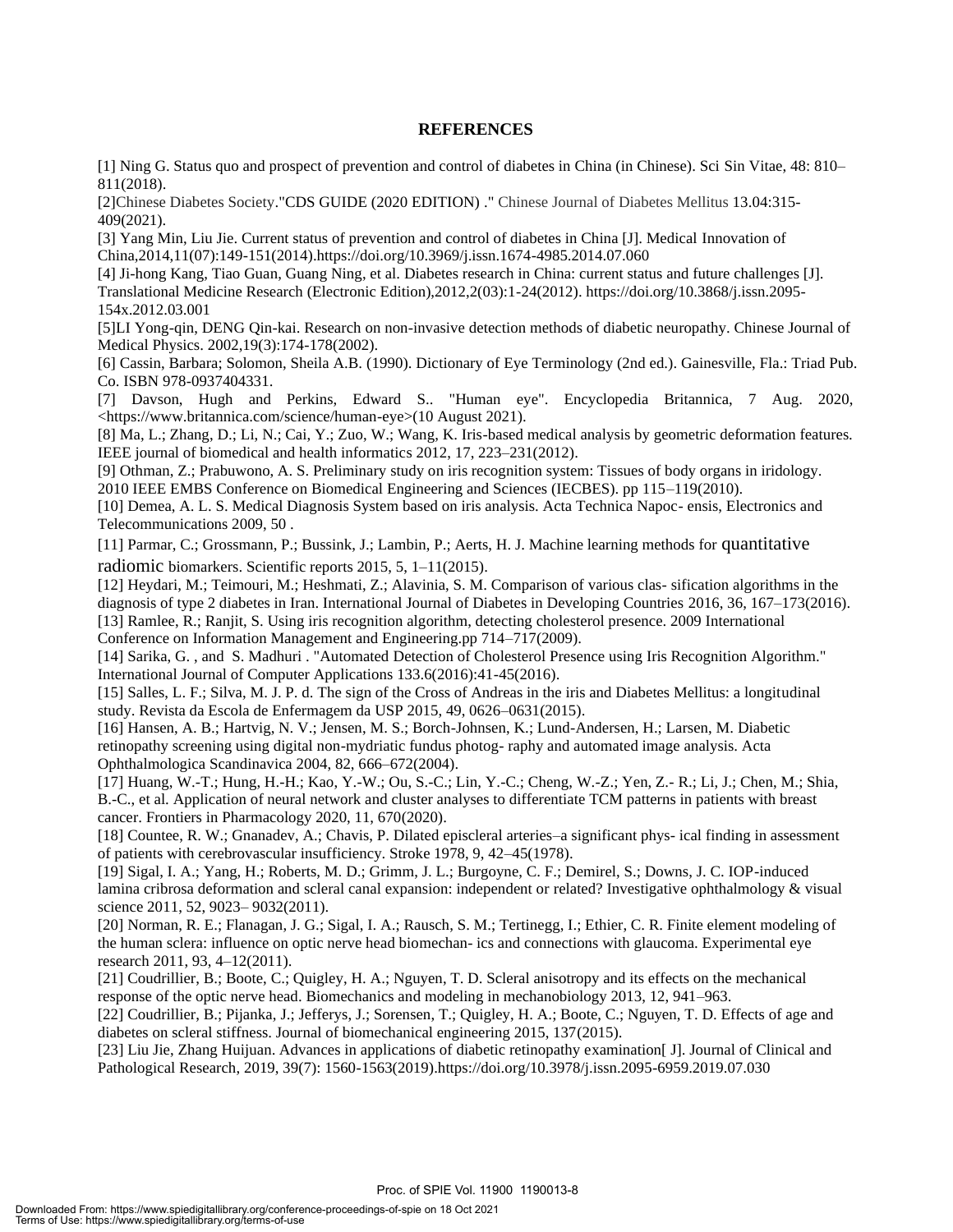#### **REFERENCES**

[1] Ning G. Status quo and prospect of prevention and control of diabetes in China (in Chinese). Sci Sin Vitae, 48: 810– 811(2018).

[2]Chinese Diabetes Society."CDS GUIDE (2020 EDITION) ." Chinese Journal of Diabetes Mellitus 13.04:315- 409(2021).

[3] Yang Min, Liu Jie. Current status of prevention and control of diabetes in China [J]. Medical Innovation of China,2014,11(07):149-151(2014).https://doi.org/10.3969/j.issn.1674-4985.2014.07.060

[4] Ji-hong Kang, Tiao Guan, Guang Ning, et al. Diabetes research in China: current status and future challenges [J]. Translational Medicine Research (Electronic Edition),2012,2(03):1-24(2012). https://doi.org/10.3868/j.issn.2095- 154x.2012.03.001

[5]LI Yong-qin, DENG Qin-kai. Research on non-invasive detection methods of diabetic neuropathy. Chinese Journal of Medical Physics. 2002,19(3):174-178(2002).

[6] Cassin, Barbara; Solomon, Sheila A.B. (1990). Dictionary of Eye Terminology (2nd ed.). Gainesville, Fla.: Triad Pub. Co. ISBN 978-0937404331.

[7] Davson, Hugh and Perkins, Edward S.. "Human eye". Encyclopedia Britannica, 7 Aug. 2020, <https://www.britannica.com/science/human-eye>(10 August 2021).

[8] Ma, L.; Zhang, D.; Li, N.; Cai, Y.; Zuo, W.; Wang, K. Iris-based medical analysis by geometric deformation features. IEEE journal of biomedical and health informatics 2012, 17, 223–231(2012).

[9] Othman, Z.; Prabuwono, A. S. Preliminary study on iris recognition system: Tissues of body organs in iridology. 2010 IEEE EMBS Conference on Biomedical Engineering and Sciences (IECBES). pp 115–119(2010).

[10] Demea, A. L. S. Medical Diagnosis System based on iris analysis. Acta Technica Napoc- ensis, Electronics and Telecommunications 2009, 50 .

[11] Parmar, C.; Grossmann, P.; Bussink, J.; Lambin, P.; Aerts, H. J. Machine learning methods for quantitative radiomic biomarkers. Scientific reports 2015, 5, 1–11(2015).

[12] Heydari, M.; Teimouri, M.; Heshmati, Z.; Alavinia, S. M. Comparison of various clas- sification algorithms in the diagnosis of type 2 diabetes in Iran. International Journal of Diabetes in Developing Countries 2016, 36, 167–173(2016). [13] Ramlee, R.; Ranjit, S. Using iris recognition algorithm, detecting cholesterol presence. 2009 International

Conference on Information Management and Engineering.pp 714–717(2009).

[14] Sarika, G. , and S. Madhuri . "Automated Detection of Cholesterol Presence using Iris Recognition Algorithm." International Journal of Computer Applications 133.6(2016):41-45(2016).

[15] Salles, L. F.; Silva, M. J. P. d. The sign of the Cross of Andreas in the iris and Diabetes Mellitus: a longitudinal study. Revista da Escola de Enfermagem da USP 2015, 49, 0626–0631(2015).

[16] Hansen, A. B.; Hartvig, N. V.; Jensen, M. S.; Borch-Johnsen, K.; Lund-Andersen, H.; Larsen, M. Diabetic retinopathy screening using digital non-mydriatic fundus photog- raphy and automated image analysis. Acta Ophthalmologica Scandinavica 2004, 82, 666–672(2004).

[17] Huang, W.-T.; Hung, H.-H.; Kao, Y.-W.; Ou, S.-C.; Lin, Y.-C.; Cheng, W.-Z.; Yen, Z.- R.; Li, J.; Chen, M.; Shia, B.-C., et al. Application of neural network and cluster analyses to differentiate TCM patterns in patients with breast cancer. Frontiers in Pharmacology 2020, 11, 670(2020).

[18] Countee, R. W.; Gnanadev, A.; Chavis, P. Dilated episcleral arteries–a significant phys- ical finding in assessment of patients with cerebrovascular insufficiency. Stroke 1978, 9, 42–45(1978).

[19] Sigal, I. A.; Yang, H.; Roberts, M. D.; Grimm, J. L.; Burgoyne, C. F.; Demirel, S.; Downs, J. C. IOP-induced lamina cribrosa deformation and scleral canal expansion: independent or related? Investigative ophthalmology & visual science 2011, 52, 9023– 9032(2011).

[20] Norman, R. E.; Flanagan, J. G.; Sigal, I. A.; Rausch, S. M.; Tertinegg, I.; Ethier, C. R. Finite element modeling of the human sclera: influence on optic nerve head biomechan- ics and connections with glaucoma. Experimental eye research 2011, 93, 4–12(2011).

[21] Coudrillier, B.; Boote, C.; Quigley, H. A.; Nguyen, T. D. Scleral anisotropy and its effects on the mechanical response of the optic nerve head. Biomechanics and modeling in mechanobiology 2013, 12, 941–963.

[22] Coudrillier, B.; Pijanka, J.; Jefferys, J.; Sorensen, T.; Quigley, H. A.; Boote, C.; Nguyen, T. D. Effects of age and diabetes on scleral stiffness. Journal of biomechanical engineering 2015, 137(2015).

[23] Liu Jie, Zhang Huijuan. Advances in applications of diabetic retinopathy examination[ J]. Journal of Clinical and Pathological Research, 2019, 39(7): 1560-1563(2019).https://doi.org/10.3978/j.issn.2095-6959.2019.07.030